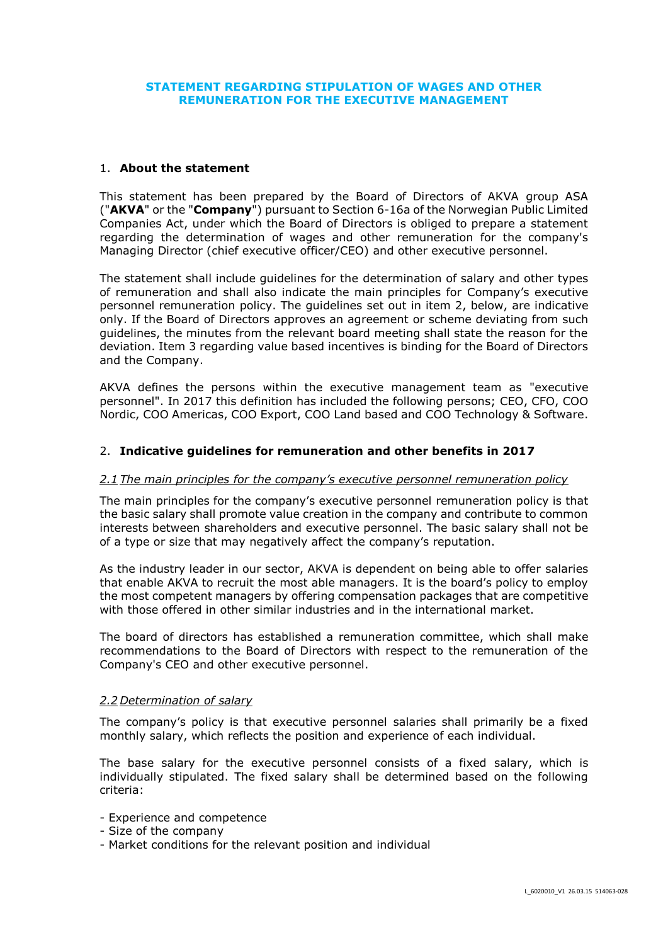# **STATEMENT REGARDING STIPULATION OF WAGES AND OTHER REMUNERATION FOR THE EXECUTIVE MANAGEMENT**

### 1. **About the statement**

This statement has been prepared by the Board of Directors of AKVA group ASA ("**AKVA**" or the "**Company**") pursuant to Section 6-16a of the Norwegian Public Limited Companies Act, under which the Board of Directors is obliged to prepare a statement regarding the determination of wages and other remuneration for the company's Managing Director (chief executive officer/CEO) and other executive personnel.

The statement shall include guidelines for the determination of salary and other types of remuneration and shall also indicate the main principles for Company's executive personnel remuneration policy. The guidelines set out in item 2, below, are indicative only. If the Board of Directors approves an agreement or scheme deviating from such guidelines, the minutes from the relevant board meeting shall state the reason for the deviation. Item 3 regarding value based incentives is binding for the Board of Directors and the Company.

AKVA defines the persons within the executive management team as "executive personnel". In 2017 this definition has included the following persons; CEO, CFO, COO Nordic, COO Americas, COO Export, COO Land based and COO Technology & Software.

### 2. **Indicative guidelines for remuneration and other benefits in 2017**

#### *2.1 The main principles for the company's executive personnel remuneration policy*

The main principles for the company's executive personnel remuneration policy is that the basic salary shall promote value creation in the company and contribute to common interests between shareholders and executive personnel. The basic salary shall not be of a type or size that may negatively affect the company's reputation.

As the industry leader in our sector, AKVA is dependent on being able to offer salaries that enable AKVA to recruit the most able managers. It is the board's policy to employ the most competent managers by offering compensation packages that are competitive with those offered in other similar industries and in the international market.

The board of directors has established a remuneration committee, which shall make recommendations to the Board of Directors with respect to the remuneration of the Company's CEO and other executive personnel.

#### *2.2 Determination of salary*

The company's policy is that executive personnel salaries shall primarily be a fixed monthly salary, which reflects the position and experience of each individual.

The base salary for the executive personnel consists of a fixed salary, which is individually stipulated. The fixed salary shall be determined based on the following criteria:

- Experience and competence
- Size of the company
- Market conditions for the relevant position and individual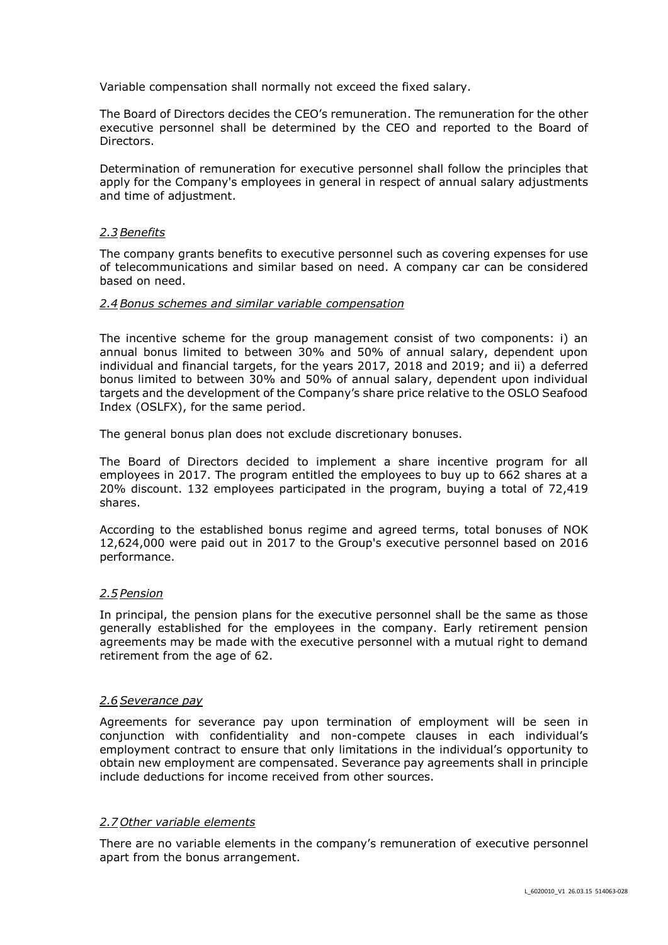Variable compensation shall normally not exceed the fixed salary.

The Board of Directors decides the CEO's remuneration. The remuneration for the other executive personnel shall be determined by the CEO and reported to the Board of Directors.

Determination of remuneration for executive personnel shall follow the principles that apply for the Company's employees in general in respect of annual salary adjustments and time of adjustment.

### *2.3Benefits*

The company grants benefits to executive personnel such as covering expenses for use of telecommunications and similar based on need. A company car can be considered based on need.

### *2.4Bonus schemes and similar variable compensation*

The incentive scheme for the group management consist of two components: i) an annual bonus limited to between 30% and 50% of annual salary, dependent upon individual and financial targets, for the years 2017, 2018 and 2019; and ii) a deferred bonus limited to between 30% and 50% of annual salary, dependent upon individual targets and the development of the Company's share price relative to the OSLO Seafood Index (OSLFX), for the same period.

The general bonus plan does not exclude discretionary bonuses.

The Board of Directors decided to implement a share incentive program for all employees in 2017. The program entitled the employees to buy up to 662 shares at a 20% discount. 132 employees participated in the program, buying a total of 72,419 shares.

According to the established bonus regime and agreed terms, total bonuses of NOK 12,624,000 were paid out in 2017 to the Group's executive personnel based on 2016 performance.

# *2.5 Pension*

In principal, the pension plans for the executive personnel shall be the same as those generally established for the employees in the company. Early retirement pension agreements may be made with the executive personnel with a mutual right to demand retirement from the age of 62.

# *2.6Severance pay*

Agreements for severance pay upon termination of employment will be seen in conjunction with confidentiality and non-compete clauses in each individual's employment contract to ensure that only limitations in the individual's opportunity to obtain new employment are compensated. Severance pay agreements shall in principle include deductions for income received from other sources.

#### *2.7 Other variable elements*

There are no variable elements in the company's remuneration of executive personnel apart from the bonus arrangement.